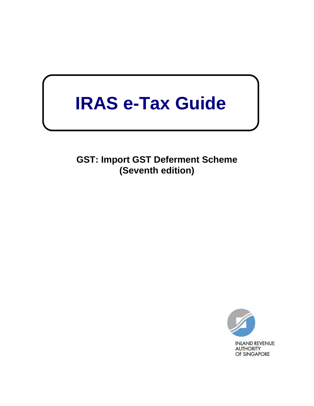# **IRAS e-Tax Guide**

**GST: Import GST Deferment Scheme (Seventh edition)**

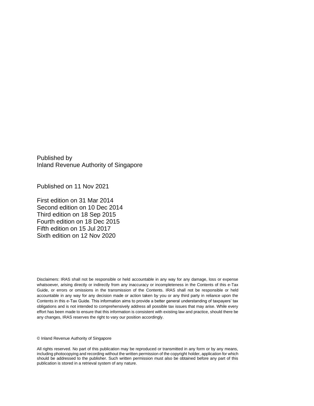Published by Inland Revenue Authority of Singapore

Published on 11 Nov 2021

First edition on 31 Mar 2014 Second edition on 10 Dec 2014 Third edition on 18 Sep 2015 Fourth edition on 18 Dec 2015 Fifth edition on 15 Jul 2017 Sixth edition on 12 Nov 2020

Disclaimers: IRAS shall not be responsible or held accountable in any way for any damage, loss or expense whatsoever, arising directly or indirectly from any inaccuracy or incompleteness in the Contents of this e-Tax Guide, or errors or omissions in the transmission of the Contents. IRAS shall not be responsible or held accountable in any way for any decision made or action taken by you or any third party in reliance upon the Contents in this e-Tax Guide. This information aims to provide a better general understanding of taxpayers' tax obligations and is not intended to comprehensively address all possible tax issues that may arise. While every effort has been made to ensure that this information is consistent with existing law and practice, should there be any changes, IRAS reserves the right to vary our position accordingly.

© Inland Revenue Authority of Singapore

All rights reserved. No part of this publication may be reproduced or transmitted in any form or by any means, including photocopying and recording without the written permission of the copyright holder, application for which should be addressed to the publisher. Such written permission must also be obtained before any part of this publication is stored in a retrieval system of any nature.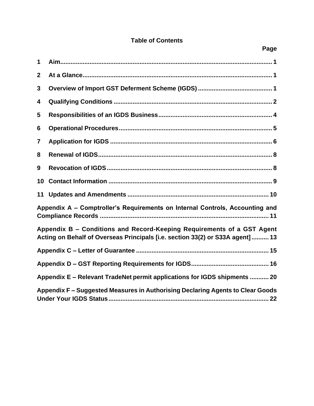## **Table of Contents**

| 1                                                                                                                                                        |  |  |  |  |
|----------------------------------------------------------------------------------------------------------------------------------------------------------|--|--|--|--|
| $\overline{2}$                                                                                                                                           |  |  |  |  |
| 3                                                                                                                                                        |  |  |  |  |
| 4                                                                                                                                                        |  |  |  |  |
| 5                                                                                                                                                        |  |  |  |  |
| 6                                                                                                                                                        |  |  |  |  |
| $\overline{7}$                                                                                                                                           |  |  |  |  |
| 8                                                                                                                                                        |  |  |  |  |
| 9                                                                                                                                                        |  |  |  |  |
| 10                                                                                                                                                       |  |  |  |  |
| 11                                                                                                                                                       |  |  |  |  |
| Appendix A - Comptroller's Requirements on Internal Controls, Accounting and                                                                             |  |  |  |  |
| Appendix B – Conditions and Record-Keeping Requirements of a GST Agent<br>Acting on Behalf of Overseas Principals [i.e. section 33(2) or S33A agent]  13 |  |  |  |  |
|                                                                                                                                                          |  |  |  |  |
|                                                                                                                                                          |  |  |  |  |
| Appendix E - Relevant TradeNet permit applications for IGDS shipments  20                                                                                |  |  |  |  |
| Appendix F – Suggested Measures in Authorising Declaring Agents to Clear Goods                                                                           |  |  |  |  |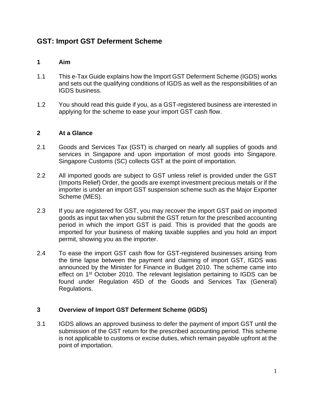# **GST: Import GST Deferment Scheme**

#### <span id="page-3-0"></span>**1 Aim**

- 1.1 This e-Tax Guide explains how the Import GST Deferment Scheme (IGDS) works and sets out the qualifying conditions of IGDS as well as the responsibilities of an IGDS business.
- 1.2 You should read this guide if you, as a GST-registered business are interested in applying for the scheme to ease your import GST cash flow.

#### <span id="page-3-1"></span>**2 At a Glance**

- 2.1 Goods and Services Tax (GST) is charged on nearly all supplies of goods and services in Singapore and upon importation of most goods into Singapore. Singapore Customs (SC) collects GST at the point of importation.
- 2.2 All imported goods are subject to GST unless relief is provided under the GST (Imports Relief) Order, the goods are exempt investment precious metals or if the importer is under an import GST suspension scheme such as the Major Exporter Scheme (MES).
- 2.3 If you are registered for GST, you may recover the import GST paid on imported goods as input tax when you submit the GST return for the prescribed accounting period in which the import GST is paid. This is provided that the goods are imported for your business of making taxable supplies and you hold an import permit, showing you as the importer.
- 2.4 To ease the import GST cash flow for GST-registered businesses arising from the time lapse between the payment and claiming of import GST, IGDS was announced by the Minister for Finance in Budget 2010. The scheme came into effect on 1<sup>st</sup> October 2010. The relevant legislation pertaining to IGDS can be found under Regulation 45D of the Goods and Services Tax (General) Regulations.

#### <span id="page-3-2"></span>**3 Overview of Import GST Deferment Scheme (IGDS)**

3.1 IGDS allows an approved business to defer the payment of import GST until the submission of the GST return for the prescribed accounting period. This scheme is not applicable to customs or excise duties, which remain payable upfront at the point of importation.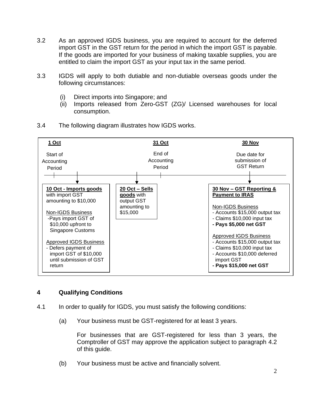- 3.2 As an approved IGDS business, you are required to account for the deferred import GST in the GST return for the period in which the import GST is payable. If the goods are imported for your business of making taxable supplies, you are entitled to claim the import GST as your input tax in the same period.
- 3.3 IGDS will apply to both dutiable and non-dutiable overseas goods under the following circumstances:
	- (i) Direct imports into Singapore; and
	- (ii) Imports released from Zero-GST (ZG)/ Licensed warehouses for local consumption.



3.4 The following diagram illustrates how IGDS works.

#### <span id="page-4-0"></span>**4 Qualifying Conditions**

- 4.1 In order to qualify for IGDS, you must satisfy the following conditions:
	- (a) Your business must be GST-registered for at least 3 years.

For businesses that are GST-registered for less than 3 years, the Comptroller of GST may approve the application subject to paragraph 4.2 of this guide.

(b) Your business must be active and financially solvent.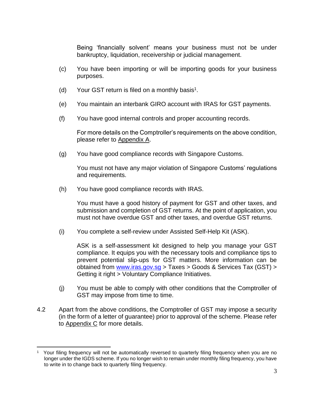Being 'financially solvent' means your business must not be under bankruptcy, liquidation, receivership or judicial management.

- (c) You have been importing or will be importing goods for your business purposes.
- (d) Your GST return is filed on a monthly basis<sup>1</sup>.
- (e) You maintain an interbank GIRO account with IRAS for GST payments.
- (f) You have good internal controls and proper accounting records.

For more details on the Comptroller's requirements on the above condition, please refer to [Appendix A.](#page-13-1)

(g) You have good compliance records with Singapore Customs.

You must not have any major violation of Singapore Customs' regulations and requirements.

(h) You have good compliance records with IRAS.

You must have a good history of payment for GST and other taxes, and submission and completion of GST returns. At the point of application, you must not have overdue GST and other taxes, and overdue GST returns.

(i) You complete a self-review under Assisted Self-Help Kit (ASK).

ASK is a self-assessment kit designed to help you manage your GST compliance. It equips you with the necessary tools and compliance tips to prevent potential slip-ups for GST matters. More information can be obtained from [www.iras.gov.sg](http://www.iras.gov.sg/) > Taxes > Goods & Services Tax (GST) > Getting it right > Voluntary Compliance Initiatives.

- (j) You must be able to comply with other conditions that the Comptroller of GST may impose from time to time.
- 4.2 Apart from the above conditions, the Comptroller of GST may impose a security (in the form of a letter of guarantee) prior to approval of the scheme. Please refer to **Appendix C** for more details.

<sup>1</sup> Your filing frequency will not be automatically reversed to quarterly filing frequency when you are no longer under the IGDS scheme. If you no longer wish to remain under monthly filing frequency, you have to write in to change back to quarterly filing frequency.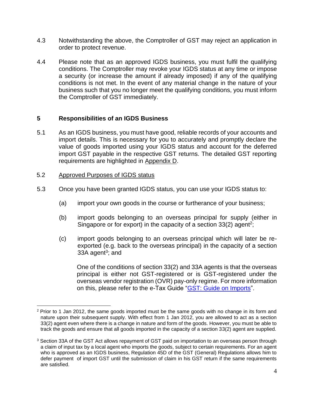- 4.3 Notwithstanding the above, the Comptroller of GST may reject an application in order to protect revenue.
- 4.4 Please note that as an approved IGDS business, you must fulfil the qualifying conditions. The Comptroller may revoke your IGDS status at any time or impose a security (or increase the amount if already imposed) if any of the qualifying conditions is not met. In the event of any material change in the nature of your business such that you no longer meet the qualifying conditions, you must inform the Comptroller of GST immediately.

#### <span id="page-6-0"></span>**5 Responsibilities of an IGDS Business**

5.1 As an IGDS business, you must have good, reliable records of your accounts and import details. This is necessary for you to accurately and promptly declare the value of goods imported using your IGDS status and account for the deferred import GST payable in the respective GST returns. The detailed GST reporting requirements are highlighted in [Appendix D.](#page-18-0)

#### 5.2 Approved Purposes of IGDS status

- 5.3 Once you have been granted IGDS status, you can use your IGDS status to:
	- (a) import your own goods in the course or furtherance of your business;
	- (b) import goods belonging to an overseas principal for supply (either in Singapore or for export) in the capacity of a section  $33(2)$  agent<sup>2</sup>;
	- (c) import goods belonging to an overseas principal which will later be reexported (e.g. back to the overseas principal) in the capacity of a section 33A agent<sup>3</sup>; and

One of the conditions of section 33(2) and 33A agents is that the overseas principal is either not GST-registered or is GST-registered under the overseas vendor registration (OVR) pay-only regime. For more information on this, please refer to the e-Tax Guide ["GST: Guide on Imports"](https://www.iras.gov.sg/irashome/uploadedFiles/IRASHome/e-Tax_Guides/etaxguide_GST_Guide%20on%20Imports.pdf).

<sup>&</sup>lt;sup>2</sup> Prior to 1 Jan 2012, the same goods imported must be the same goods with no change in its form and nature upon their subsequent supply. With effect from 1 Jan 2012, you are allowed to act as a section 33(2) agent even where there is a change in nature and form of the goods. However, you must be able to track the goods and ensure that all goods imported in the capacity of a section 33(2) agent are supplied.

<sup>&</sup>lt;sup>3</sup> Section 33A of the GST Act allows repayment of GST paid on importation to an overseas person through a claim of input tax by a local agent who imports the goods, subject to certain requirements. For an agent who is approved as an IGDS business, Regulation 45D of the GST (General) Regulations allows him to defer payment of import GST until the submission of claim in his GST return if the same requirements are satisfied.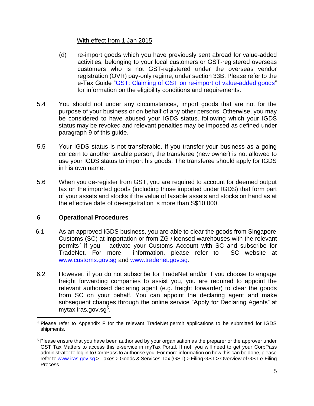#### With effect from 1 Jan 2015

- (d) re-import goods which you have previously sent abroad for value-added activities, belonging to your local customers or GST-registered overseas customers who is not GST-registered under the overseas vendor registration (OVR) pay-only regime, under section 33B. Please refer to the e-Tax Guide ["GST: Claiming of GST on re-import of value-added goods"](https://www.iras.gov.sg/irashome/uploadedFiles/IRASHome/e-Tax_Guides/eTax%20Guide_Claiming%20of%20GST%20on%20re-import%20of%20value-added%20goods_Third%20edition.pdf) for information on the eligibility conditions and requirements.
- 5.4 You should not under any circumstances, import goods that are not for the purpose of your business or on behalf of any other persons. Otherwise, you may be considered to have abused your IGDS status, following which your IGDS status may be revoked and relevant penalties may be imposed as defined under paragraph 9 of this guide.
- 5.5 Your IGDS status is not transferable. If you transfer your business as a going concern to another taxable person, the transferee (new owner) is not allowed to use your IGDS status to import his goods. The transferee should apply for IGDS in his own name.
- 5.6 When you de-register from GST, you are required to account for deemed output tax on the imported goods (including those imported under IGDS) that form part of your assets and stocks if the value of taxable assets and stocks on hand as at the effective date of de-registration is more than S\$10,000.

### <span id="page-7-0"></span>**6 Operational Procedures**

- 6.1 As an approved IGDS business, you are able to clear the goods from Singapore Customs (SC) at importation or from ZG /licensed warehouses with the relevant permits<sup>4</sup> if you activate your Customs Account with SC and subscribe for TradeNet. For more information, please refer to SC website at [www.customs.gov.sg](http://www.customs.gov.sg/) and [www.tradenet.gov.sg.](http://www.tradenet.gov.sg/)
- 6.2 However, if you do not subscribe for TradeNet and/or if you choose to engage freight forwarding companies to assist you, you are required to appoint the relevant authorised declaring agent (e.g. freight forwarder) to clear the goods from SC on your behalf. You can appoint the declaring agent and make subsequent changes through the online service "Apply for Declaring Agents" at mytax.iras.gov.sg<sup>5</sup>.

<sup>4</sup> Please refer to Appendix F for the relevant TradeNet permit applications to be submitted for IGDS shipments.

<sup>5</sup> Please ensure that you have been authorised by your organisation as the preparer or the approver under GST Tax Matters to access this e-service in myTax Portal. If not, you will need to get your CorpPass administrator to log in to CorpPass to authorise you. For more information on how this can be done, please refer to [www.iras.gov.sg](http://www.iras.gov.sg/) > Taxes > Goods & Services Tax (GST) > Filing GST > Overview of GST e-Filing Process.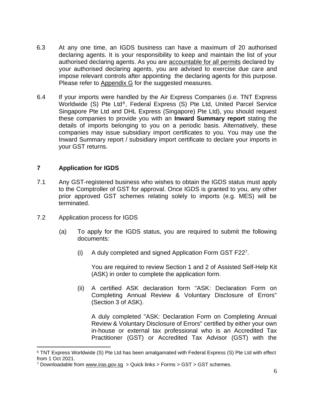- 6.3 At any one time, an IGDS business can have a maximum of 20 authorised declaring agents. It is your responsibility to keep and maintain the list of your authorised declaring agents. As you are accountable for all permits declared by your authorised declaring agents, you are advised to exercise due care and impose relevant controls after appointing the declaring agents for this purpose. Please refer to [Appendix G](#page-23-0) for the suggested measures.
- 6.4 If your imports were handled by the Air Express Companies (i.e. TNT Express Worldwide (S) Pte Ltd<sup>6</sup>, Federal Express (S) Pte Ltd, United Parcel Service Singapore Pte Ltd and DHL Express (Singapore) Pte Ltd), you should request these companies to provide you with an **Inward Summary report** stating the details of imports belonging to you on a periodic basis. Alternatively, these companies may issue subsidiary import certificates to you. You may use the Inward Summary report / subsidiary import certificate to declare your imports in your GST returns.

#### <span id="page-8-0"></span>**7 Application for IGDS**

- 7.1 Any GST-registered business who wishes to obtain the IGDS status must apply to the Comptroller of GST for approval. Once IGDS is granted to you, any other prior approved GST schemes relating solely to imports (e.g. MES) will be terminated.
- 7.2 Application process for IGDS
	- (a) To apply for the IGDS status, you are required to submit the following documents:
		- (i) A duly completed and signed Application Form GST F22<sup>7</sup> .

You are required to review Section 1 and 2 of Assisted Self-Help Kit (ASK) in order to complete the application form.

(ii) A certified ASK declaration form "ASK: Declaration Form on Completing Annual Review & Voluntary Disclosure of Errors" (Section 3 of ASK).

A duly completed "ASK: Declaration Form on Completing Annual Review & Voluntary Disclosure of Errors" certified by either your own in-house or external tax professional who is an Accredited Tax Practitioner (GST) or Accredited Tax Advisor (GST) with the

<sup>6</sup> TNT Express Worldwide (S) Pte Ltd has been amalgamated with Federal Express (S) Pte Ltd with effect from 1 Oct 2021.

<sup>7</sup> Downloadable from [www.iras.gov.sg](http://www.iras.gov.sg/) > Quick links > Forms > GST > GST schemes.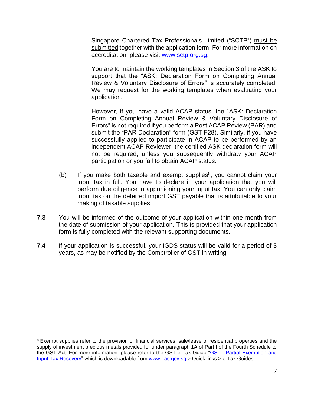Singapore Chartered Tax Professionals Limited ("SCTP") must be submitted together with the application form. For more information on accreditation, please visit [www.sctp.org.sg.](http://www.sctp.org.sg/)

You are to maintain the working templates in Section 3 of the ASK to support that the "ASK: Declaration Form on Completing Annual Review & Voluntary Disclosure of Errors" is accurately completed. We may request for the working templates when evaluating your application.

However, if you have a valid ACAP status, the "ASK: Declaration Form on Completing Annual Review & Voluntary Disclosure of Errors" is not required if you perform a Post ACAP Review (PAR) and submit the "PAR Declaration" form (GST F28). Similarly, if you have successfully applied to participate in ACAP to be performed by an independent ACAP Reviewer, the certified ASK declaration form will not be required, unless you subsequently withdraw your ACAP participation or you fail to obtain ACAP status.

- (b) If you make both taxable and exempt supplies $8$ , you cannot claim your input tax in full. You have to declare in your application that you will perform due diligence in apportioning your input tax. You can only claim input tax on the deferred import GST payable that is attributable to your making of taxable supplies.
- 7.3 You will be informed of the outcome of your application within one month from the date of submission of your application. This is provided that your application form is fully completed with the relevant supporting documents.
- 7.4 If your application is successful, your IGDS status will be valid for a period of 3 years, as may be notified by the Comptroller of GST in writing.

<sup>&</sup>lt;sup>8</sup> Exempt supplies refer to the provision of financial services, sale/lease of residential properties and the supply of investment precious metals provided for under paragraph 1A of Part I of the Fourth Schedule to the GST Act. For more information, please refer to the GST e-Tax Guide "GST : Partial Exemption and [Input Tax Recovery"](https://www.iras.gov.sg/irashome/uploadedFiles/IRASHome/e-Tax_Guides/eTax%20Guide%20Partial%20Exemption%20and%20Input%20Tax%20Recovery%20(Fifth%20Edition).pdf) which is downloadable from www.iras.gov.sg > Quick links > e-Tax Guides.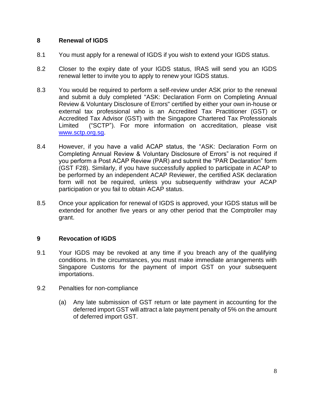#### <span id="page-10-0"></span>**8 Renewal of IGDS**

- 8.1 You must apply for a renewal of IGDS if you wish to extend your IGDS status.
- 8.2 Closer to the expiry date of your IGDS status, IRAS will send you an IGDS renewal letter to invite you to apply to renew your IGDS status.
- 8.3 You would be required to perform a self-review under ASK prior to the renewal and submit a duly completed "ASK: Declaration Form on Completing Annual Review & Voluntary Disclosure of Errors" certified by either your own in-house or external tax professional who is an Accredited Tax Practitioner (GST) or Accredited Tax Advisor (GST) with the Singapore Chartered Tax Professionals Limited ("SCTP"). For more information on accreditation, please visit [www.sctp.org.sg.](http://www.sctp.org.sg/)
- 8.4 However, if you have a valid ACAP status, the "ASK: Declaration Form on Completing Annual Review & Voluntary Disclosure of Errors" is not required if you perform a Post ACAP Review (PAR) and submit the "PAR Declaration" form (GST F28). Similarly, if you have successfully applied to participate in ACAP to be performed by an independent ACAP Reviewer, the certified ASK declaration form will not be required, unless you subsequently withdraw your ACAP participation or you fail to obtain ACAP status.
- 8.5 Once your application for renewal of IGDS is approved, your IGDS status will be extended for another five years or any other period that the Comptroller may grant.

#### <span id="page-10-1"></span>**9 Revocation of IGDS**

- 9.1 Your IGDS may be revoked at any time if you breach any of the qualifying conditions. In the circumstances, you must make immediate arrangements with Singapore Customs for the payment of import GST on your subsequent importations.
- 9.2 Penalties for non-compliance
	- (a) Any late submission of GST return or late payment in accounting for the deferred import GST will attract a late payment penalty of 5% on the amount of deferred import GST.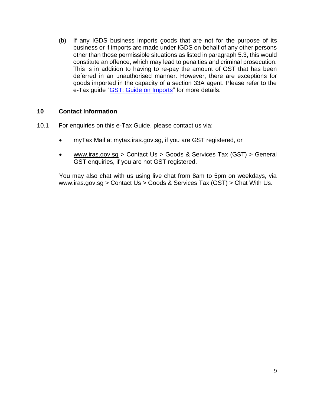(b) If any IGDS business imports goods that are not for the purpose of its business or if imports are made under IGDS on behalf of any other persons other than those permissible situations as listed in paragraph 5.3, this would constitute an offence, which may lead to penalties and criminal prosecution. This is in addition to having to re-pay the amount of GST that has been deferred in an unauthorised manner. However, there are exceptions for goods imported in the capacity of a section 33A agent. Please refer to the e-Tax guide "GST: [Guide on Imports"](https://www.iras.gov.sg/irashome/uploadedFiles/IRASHome/e-Tax_Guides/etaxguide_GST_Guide%20on%20Imports.pdf) for more details.

#### <span id="page-11-0"></span>**10 Contact Information**

- 10.1 For enquiries on this e-Tax Guide, please contact us via:
	- myTax Mail at mytax.iras.gov.sg, if you are GST registered, or
	- www.iras.gov.sg > Contact Us > Goods & Services Tax  $(GST)$  > General GST enquiries, if you are not GST registered.

You may also chat with us using live chat from 8am to 5pm on weekdays, via www.iras.gov.sg > Contact Us > Goods & Services Tax (GST) > Chat With Us.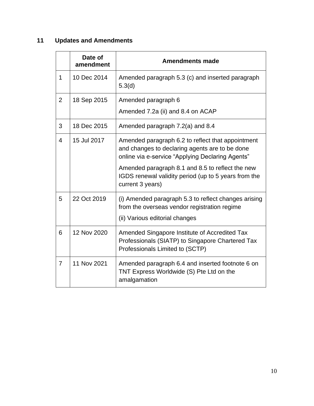# <span id="page-12-0"></span>**11 Updates and Amendments**

|                | Date of<br>amendment | <b>Amendments made</b>                                                                                                                                  |  |  |
|----------------|----------------------|---------------------------------------------------------------------------------------------------------------------------------------------------------|--|--|
| $\mathbf 1$    | 10 Dec 2014          | Amended paragraph 5.3 (c) and inserted paragraph<br>5.3(d)                                                                                              |  |  |
| $\overline{2}$ | 18 Sep 2015          | Amended paragraph 6                                                                                                                                     |  |  |
|                |                      | Amended 7.2a (ii) and 8.4 on ACAP                                                                                                                       |  |  |
| 3              | 18 Dec 2015          | Amended paragraph 7.2(a) and 8.4                                                                                                                        |  |  |
| $\overline{4}$ | 15 Jul 2017          | Amended paragraph 6.2 to reflect that appointment<br>and changes to declaring agents are to be done<br>online via e-service "Applying Declaring Agents" |  |  |
|                |                      | Amended paragraph 8.1 and 8.5 to reflect the new<br>IGDS renewal validity period (up to 5 years from the<br>current 3 years)                            |  |  |
| 5              | 22 Oct 2019          | (i) Amended paragraph 5.3 to reflect changes arising<br>from the overseas vendor registration regime<br>(ii) Various editorial changes                  |  |  |
| 6              | 12 Nov 2020          | Amended Singapore Institute of Accredited Tax<br>Professionals (SIATP) to Singapore Chartered Tax<br>Professionals Limited to (SCTP)                    |  |  |
| $\overline{7}$ | 11 Nov 2021          | Amended paragraph 6.4 and inserted footnote 6 on<br>TNT Express Worldwide (S) Pte Ltd on the<br>amalgamation                                            |  |  |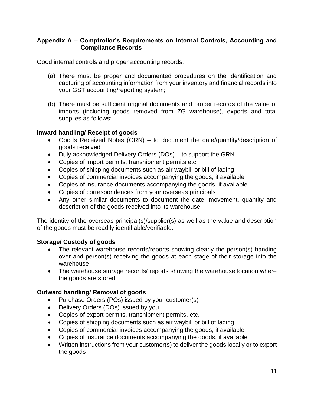#### <span id="page-13-0"></span>**Appendix A – Comptroller's Requirements on Internal Controls, Accounting and Compliance Records**

<span id="page-13-1"></span>Good internal controls and proper accounting records:

- (a) There must be proper and documented procedures on the identification and capturing of accounting information from your inventory and financial records into your GST accounting/reporting system;
- (b) There must be sufficient original documents and proper records of the value of imports (including goods removed from ZG warehouse), exports and total supplies as follows:

#### **Inward handling/ Receipt of goods**

- Goods Received Notes (GRN) to document the date/quantity/description of goods received
- Duly acknowledged Delivery Orders (DOs) to support the GRN
- Copies of import permits, transhipment permits etc
- Copies of shipping documents such as air waybill or bill of lading
- Copies of commercial invoices accompanying the goods, if available
- Copies of insurance documents accompanying the goods, if available
- Copies of correspondences from your overseas principals
- Any other similar documents to document the date, movement, quantity and description of the goods received into its warehouse

The identity of the overseas principal(s)/supplier(s) as well as the value and description of the goods must be readily identifiable/verifiable.

#### **Storage/ Custody of goods**

- The relevant warehouse records/reports showing clearly the person(s) handing over and person(s) receiving the goods at each stage of their storage into the warehouse
- The warehouse storage records/ reports showing the warehouse location where the goods are stored

#### **Outward handling/ Removal of goods**

- Purchase Orders (POs) issued by your customer(s)
- Delivery Orders (DOs) issued by you
- Copies of export permits, transhipment permits, etc.
- Copies of shipping documents such as air waybill or bill of lading
- Copies of commercial invoices accompanying the goods, if available
- Copies of insurance documents accompanying the goods, if available
- Written instructions from your customer(s) to deliver the goods locally or to export the goods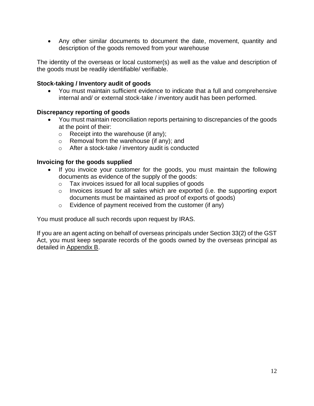• Any other similar documents to document the date, movement, quantity and description of the goods removed from your warehouse

The identity of the overseas or local customer(s) as well as the value and description of the goods must be readily identifiable/ verifiable.

#### **Stock-taking / Inventory audit of goods**

• You must maintain sufficient evidence to indicate that a full and comprehensive internal and/ or external stock-take / inventory audit has been performed.

#### **Discrepancy reporting of goods**

- You must maintain reconciliation reports pertaining to discrepancies of the goods at the point of their:
	- $\circ$  Receipt into the warehouse (if any);
	- o Removal from the warehouse (if any); and
	- o After a stock-take / inventory audit is conducted

#### **Invoicing for the goods supplied**

- If you invoice your customer for the goods, you must maintain the following documents as evidence of the supply of the goods:
	- o Tax invoices issued for all local supplies of goods
	- o Invoices issued for all sales which are exported (i.e. the supporting export documents must be maintained as proof of exports of goods)
	- o Evidence of payment received from the customer (if any)

You must produce all such records upon request by IRAS.

If you are an agent acting on behalf of overseas principals under Section 33(2) of the GST Act, you must keep separate records of the goods owned by the overseas principal as detailed in [Appendix B.](#page-15-0)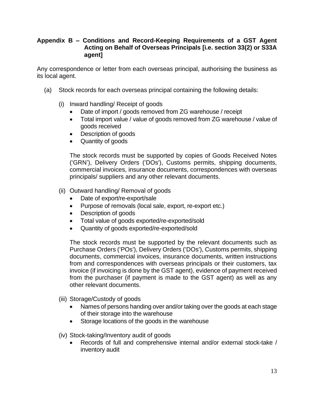#### <span id="page-15-0"></span>**Appendix B – Conditions and Record-Keeping Requirements of a GST Agent Acting on Behalf of Overseas Principals [i.e. section 33(2) or S33A agent]**

Any correspondence or letter from each overseas principal, authorising the business as its local agent.

- (a) Stock records for each overseas principal containing the following details:
	- (i) Inward handling/ Receipt of goods
		- Date of import / goods removed from ZG warehouse / receipt
		- Total import value / value of goods removed from ZG warehouse / value of goods received
		- Description of goods
		- Quantity of goods

The stock records must be supported by copies of Goods Received Notes ('GRN'), Delivery Orders ('DOs'), Customs permits, shipping documents, commercial invoices, insurance documents, correspondences with overseas principals/ suppliers and any other relevant documents.

- (ii) Outward handling/ Removal of goods
	- Date of export/re-export/sale
	- Purpose of removals (local sale, export, re-export etc.)
	- Description of goods
	- Total value of goods exported/re-exported/sold
	- Quantity of goods exported/re-exported/sold

The stock records must be supported by the relevant documents such as Purchase Orders ('POs'), Delivery Orders ('DOs'), Customs permits, shipping documents, commercial invoices, insurance documents, written instructions from and correspondences with overseas principals or their customers, tax invoice (if invoicing is done by the GST agent), evidence of payment received from the purchaser (if payment is made to the GST agent) as well as any other relevant documents.

- (iii) Storage/Custody of goods
	- Names of persons handing over and/or taking over the goods at each stage of their storage into the warehouse
	- Storage locations of the goods in the warehouse

(iv) Stock-taking/Inventory audit of goods

• Records of full and comprehensive internal and/or external stock-take / inventory audit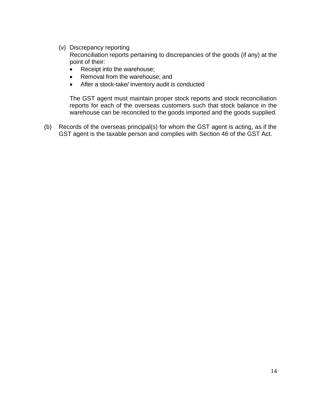(v) Discrepancy reporting

Reconciliation reports pertaining to discrepancies of the goods (if any) at the point of their:

- Receipt into the warehouse;
- Removal from the warehouse; and
- After a stock-take/ inventory audit is conducted

The GST agent must maintain proper stock reports and stock reconciliation reports for each of the overseas customers such that stock balance in the warehouse can be reconciled to the goods imported and the goods supplied.

<span id="page-16-0"></span>(b) Records of the overseas principal(s) for whom the GST agent is acting, as if the GST agent is the taxable person and complies with Section 46 of the GST Act.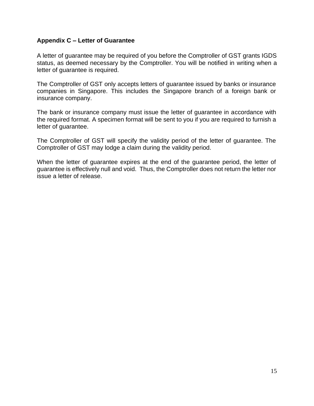#### <span id="page-17-0"></span>**Appendix C – Letter of Guarantee**

A letter of guarantee may be required of you before the Comptroller of GST grants IGDS status, as deemed necessary by the Comptroller. You will be notified in writing when a letter of guarantee is required.

The Comptroller of GST only accepts letters of guarantee issued by banks or insurance companies in Singapore. This includes the Singapore branch of a foreign bank or insurance company.

The bank or insurance company must issue the letter of guarantee in accordance with the required format. A specimen format will be sent to you if you are required to furnish a letter of guarantee.

The Comptroller of GST will specify the validity period of the letter of guarantee. The Comptroller of GST may lodge a claim during the validity period.

When the letter of guarantee expires at the end of the guarantee period, the letter of guarantee is effectively null and void. Thus, the Comptroller does not return the letter nor issue a letter of release.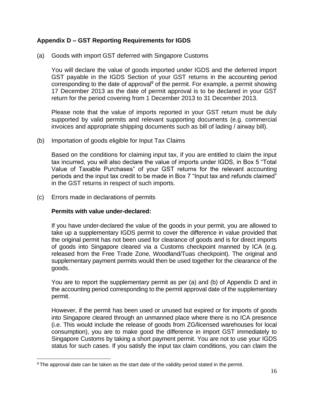#### <span id="page-18-0"></span>**Appendix D – GST Reporting Requirements for IGDS**

(a) Goods with import GST deferred with Singapore Customs

You will declare the value of goods imported under IGDS and the deferred import GST payable in the IGDS Section of your GST returns in the accounting period corresponding to the date of approval<sup>9</sup> of the permit. For example, a permit showing 17 December 2013 as the date of permit approval is to be declared in your GST return for the period covering from 1 December 2013 to 31 December 2013.

Please note that the value of imports reported in your GST return must be duly supported by valid permits and relevant supporting documents (e.g. commercial invoices and appropriate shipping documents such as bill of lading / airway bill).

(b) Importation of goods eligible for Input Tax Claims

Based on the conditions for claiming input tax, if you are entitled to claim the input tax incurred, you will also declare the value of imports under IGDS, in Box 5 "Total Value of Taxable Purchases" of your GST returns for the relevant accounting periods and the input tax credit to be made in Box 7 "Input tax and refunds claimed" in the GST returns in respect of such imports.

(c) Errors made in declarations of permits

#### **Permits with value under-declared:**

If you have under-declared the value of the goods in your permit, you are allowed to take up a supplementary IGDS permit to cover the difference in value provided that the original permit has not been used for clearance of goods and is for direct imports of goods into Singapore cleared via a Customs checkpoint manned by ICA (e.g. released from the Free Trade Zone, Woodland/Tuas checkpoint). The original and supplementary payment permits would then be used together for the clearance of the goods.

You are to report the supplementary permit as per (a) and (b) of Appendix D and in the accounting period corresponding to the permit approval date of the supplementary permit.

However, if the permit has been used or unused but expired or for imports of goods into Singapore cleared through an unmanned place where there is no ICA presence (i.e. This would include the release of goods from ZG/licensed warehouses for local consumption), you are to make good the difference in import GST immediately to Singapore Customs by taking a short payment permit. You are not to use your IGDS status for such cases. If you satisfy the input tax claim conditions, you can claim the

<sup>9</sup> The approval date can be taken as the start date of the validity period stated in the permit.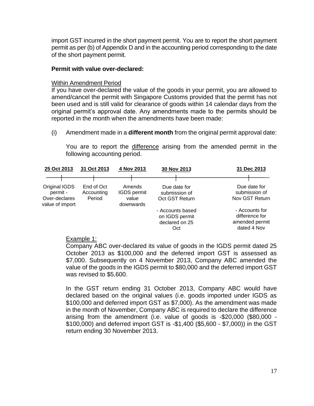import GST incurred in the short payment permit. You are to report the short payment permit as per (b) of Appendix D and in the accounting period corresponding to the date of the short payment permit.

#### **Permit with value over-declared:**

#### Within Amendment Period

If you have over-declared the value of the goods in your permit, you are allowed to amend/cancel the permit with Singapore Customs provided that the permit has not been used and is still valid for clearance of goods within 14 calendar days from the original permit's approval date. Any amendments made to the permits should be reported in the month when the amendments have been made:

(i) Amendment made in a **different month** from the original permit approval date:

You are to report the difference arising from the amended permit in the following accounting period.

| 25 Oct 2013                                                   | 31 Oct 2013                        | 4 Nov 2013                                  | 30 Nov 2013                                                 | 31 Dec 2013                                                       |
|---------------------------------------------------------------|------------------------------------|---------------------------------------------|-------------------------------------------------------------|-------------------------------------------------------------------|
|                                                               |                                    |                                             |                                                             |                                                                   |
| Original IGDS<br>permit -<br>Over-declares<br>value of import | End of Oct<br>Accounting<br>Period | Amends<br>IGDS permit<br>value<br>downwards | Due date for<br>submission of<br>Oct GST Return             | Due date for<br>submission of<br>Nov GST Return                   |
|                                                               |                                    |                                             | - Accounts based<br>on IGDS permit<br>declared on 25<br>Oct | - Accounts for<br>difference for<br>amended permit<br>dated 4 Nov |

#### Example 1:

Company ABC over-declared its value of goods in the IGDS permit dated 25 October 2013 as \$100,000 and the deferred import GST is assessed as \$7,000. Subsequently on 4 November 2013, Company ABC amended the value of the goods in the IGDS permit to \$80,000 and the deferred import GST was revised to \$5,600.

In the GST return ending 31 October 2013, Company ABC would have declared based on the original values (i.e. goods imported under IGDS as \$100,000 and deferred import GST as \$7,000). As the amendment was made in the month of November, Company ABC is required to declare the difference arising from the amendment (i.e. value of goods is -\$20,000 (\$80,000 - \$100,000) and deferred import GST is -\$1,400 (\$5,600 - \$7,000)) in the GST return ending 30 November 2013.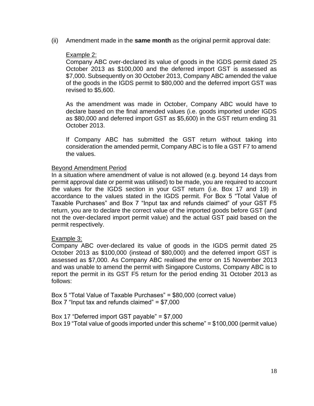(ii) Amendment made in the **same month** as the original permit approval date:

#### Example 2:

Company ABC over-declared its value of goods in the IGDS permit dated 25 October 2013 as \$100,000 and the deferred import GST is assessed as \$7,000. Subsequently on 30 October 2013, Company ABC amended the value of the goods in the IGDS permit to \$80,000 and the deferred import GST was revised to \$5,600.

As the amendment was made in October, Company ABC would have to declare based on the final amended values (i.e. goods imported under IGDS as \$80,000 and deferred import GST as \$5,600) in the GST return ending 31 October 2013.

If Company ABC has submitted the GST return without taking into consideration the amended permit, Company ABC is to file a GST F7 to amend the values.

#### Beyond Amendment Period

In a situation where amendment of value is not allowed (e.g. beyond 14 days from permit approval date or permit was utilised) to be made, you are required to account the values for the IGDS section in your GST return (i.e. Box 17 and 19) in accordance to the values stated in the IGDS permit. For Box 5 "Total Value of Taxable Purchases" and Box 7 "Input tax and refunds claimed" of your GST F5 return, you are to declare the correct value of the imported goods before GST (and not the over-declared import permit value) and the actual GST paid based on the permit respectively.

#### Example 3:

Company ABC over-declared its value of goods in the IGDS permit dated 25 October 2013 as \$100,000 (instead of \$80,000) and the deferred import GST is assessed as \$7,000. As Company ABC realised the error on 15 November 2013 and was unable to amend the permit with Singapore Customs, Company ABC is to report the permit in its GST F5 return for the period ending 31 October 2013 as follows:

Box 5 "Total Value of Taxable Purchases" = \$80,000 (correct value) Box 7 "Input tax and refunds claimed" = \$7,000

Box 17 "Deferred import GST payable" = \$7,000 Box 19 "Total value of goods imported under this scheme" = \$100,000 (permit value)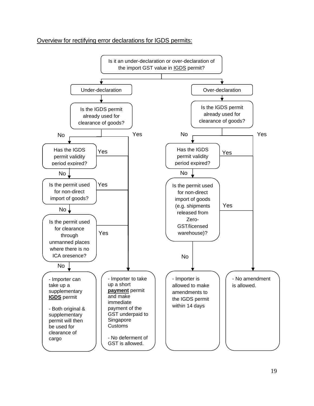#### Overview for rectifying error declarations for IGDS permits:

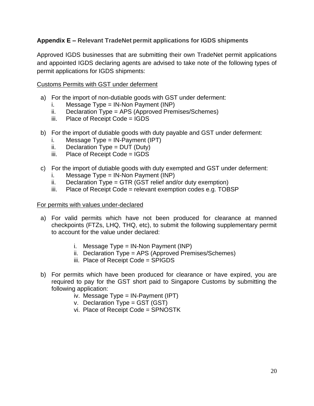#### <span id="page-22-0"></span>**Appendix E – Relevant TradeNet permit applications for IGDS shipments**

Approved IGDS businesses that are submitting their own TradeNet permit applications and appointed IGDS declaring agents are advised to take note of the following types of permit applications for IGDS shipments:

#### Customs Permits with GST under deferment

- a) For the import of non-dutiable goods with GST under deferment:
	- i. Message  $Type = IN-Non Payment (INP)$
	- ii. Declaration Type = APS (Approved Premises/Schemes)
	- iii. Place of Receipt Code = IGDS
- b) For the import of dutiable goods with duty payable and GST under deferment:
	- i. Message  $Type = IN-Payment (IPT)$
	- $ii.$  Declaration Type = DUT (Duty)
	- iii. Place of Receipt Code = IGDS
- c) For the import of dutiable goods with duty exempted and GST under deferment:
	- i. Message  $Type = IN-Non Payment (INP)$
	- ii. Declaration Type = GTR (GST relief and/or duty exemption)
	- iii. Place of Receipt Code = relevant exemption codes e.g. TOBSP

#### For permits with values under-declared

- a) For valid permits which have not been produced for clearance at manned checkpoints (FTZs, LHQ, THQ, etc), to submit the following supplementary permit to account for the value under declared:
	- i. Message Type =  $IN-Non$  Payment ( $INP$ )
	- ii. Declaration Type = APS (Approved Premises/Schemes)
	- iii. Place of Receipt Code = SPIGDS
- b) For permits which have been produced for clearance or have expired, you are required to pay for the GST short paid to Singapore Customs by submitting the following application:
	- iv. Message Type = IN-Payment (IPT)
	- v. Declaration Type = GST (GST)
	- vi. Place of Receipt Code = SPNOSTK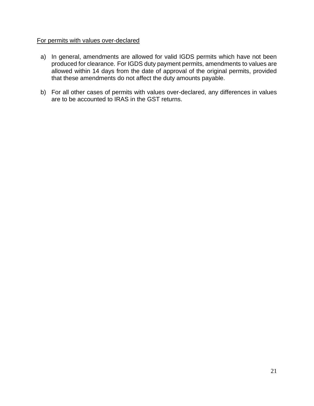#### For permits with values over-declared

- a) In general, amendments are allowed for valid IGDS permits which have not been produced for clearance. For IGDS duty payment permits, amendments to values are allowed within 14 days from the date of approval of the original permits, provided that these amendments do not affect the duty amounts payable.
- <span id="page-23-0"></span>b) For all other cases of permits with values over-declared, any differences in values are to be accounted to IRAS in the GST returns.